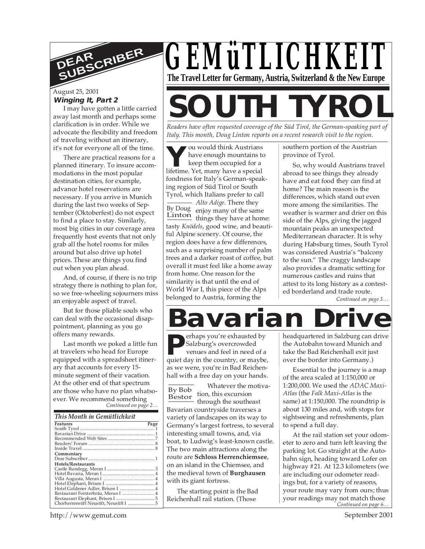

### August 25, 2001

#### **Winging It, Part 2**

I may have gotten a little carried away last month and perhaps some clarification is in order. While we advocate the flexibility and freedom of traveling without an itinerary, it's not for everyone all of the time.

There are practical reasons for a planned itinerary. To insure accommodations in the most popular destination cities, for example, advance hotel reservations are necessary. If you arrive in Munich during the last two weeks of September (Oktoberfest) do not expect to find a place to stay. Similarly, most big cities in our coverage area frequently host events that not only grab all the hotel rooms for miles around but also drive up hotel prices. These are things you find out when you plan ahead.

And, of course, if there is no trip strategy there is nothing to plan for, so we free-wheeling sojourners miss an enjoyable aspect of travel.

But for those pliable souls who can deal with the occasional disappointment, planning as you go offers many rewards.

*Continued on page 2…* Last month we poked a little fun at travelers who head for Europe equipped with a spreadsheet itinerary that accounts for every 15 minute segment of their vacation. At the other end of that spectrum are those who have no plan whatsoever. We recommend something

| This Month in Gemütlichkeit        |      |
|------------------------------------|------|
| Features                           | Page |
|                                    |      |
|                                    |      |
|                                    |      |
|                                    |      |
|                                    |      |
| Commentary                         |      |
|                                    |      |
| Hotels/Restaurants                 |      |
|                                    |      |
|                                    |      |
|                                    |      |
|                                    |      |
| Hotel Goldener Adler, Brixen I  4  |      |
| Restaurant Forsterbräu, Meran I  4 |      |
|                                    |      |
|                                    |      |

*GEMüTLICHKEIT* **The Travel Letter for Germany, Austria, Switzerland & the New Europe**

# **SOUTH TYRC**

*Readers have often requested coverage of the Süd Tirol, the German-speaking part of Italy. This month, Doug Linton reports on a recent research visit to the region.*

**Y**lifetime. Yet, many have a special **Y**lifetime. Yet, many have a special By Doug enjoy many of the same  $Linton$  things they have at home: ou would think Austrians have enough mountains to keep them occupied for a fondness for Italy's German-speaking region of Süd Tirol or South Tyrol, which Italians prefer to call *Alto Adige*. There they tasty *Knödels*, good wine, and beautiful Alpine scenery. Of course, the region does have a few differences, such as a surprising number of palm trees and a darker roast of coffee, but overall it must feel like a home away from home. One reason for the similarity is that until the end of World War I, this piece of the Alps belonged to Austria, forming the

southern portion of the Austrian province of Tyrol.

So, why would Austrians travel abroad to see things they already have and eat food they can find at home? The main reason is the differences, which stand out even more among the similarities. The weather is warmer and drier on this side of the Alps, giving the jagged mountain peaks an unexpected Mediterranean character. It is why during Habsburg times, South Tyrol was considered Austria's "balcony to the sun." The craggy landscape also provides a dramatic setting for numerous castles and ruins that attest to its long history as a contested borderland and trade route.

*Continued on page 3…*

## Bavarian

erhaps you're exhausted by Salzburg's overcrowded venues and feel in need of a **P** Salzburg's overcrowded<br>venues and feel in need of a<br>quiet day in the country, or maybe, as we were, you're in Bad Reichenhall with a free day on your hands.

Whatever the motivation, this excursion through the southeast Bavarian countryside traverses a variety of landscapes on its way to Germany's largest fortress, to several interesting small towns, and, via boat, to Ludwig's least-known castle. The two main attractions along the route are **Schloss Herrenchiemsee**, on an island in the Chiemsee, and the medieval town of **Burghausen** with its giant fortress. By Bob Bestor

The starting point is the Bad Reichenhall rail station. (Those

headquartered in Salzburg can drive the Autobahn toward Munich and take the Bad Reichenhall exit just over the border into Germany.)

Essential to the journey is a map of the area scaled at 1:150,000 or 1:200,000. We used the *ADAC Maxi-Atlas* (the *Falk Maxi-Atlas* is the same) at 1:150,000. The roundtrip is about 130 miles and, with stops for sightseeing and refreshments, plan to spend a full day.

*Continued on page 6…* At the rail station set your odometer to zero and turn left leaving the parking lot. Go straight at the Autobahn sign, heading toward Lofer on highway #21. At 12.3 kilometers (we are including our odometer readings but, for a variety of reasons, your route may vary from ours; thus your readings may not match those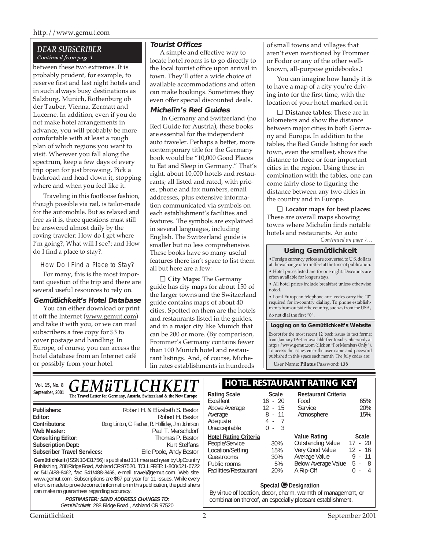#### http://www.gemut.com

#### *DEAR SUBSCRIBER Continued from page 1*

between these two extremes. It is probably prudent, for example, to reserve first and last night hotels and in such always busy destinations as Salzburg, Munich, Rothenburg ob der Tauber, Vienna, Zermatt and Lucerne. In addition, even if you do not make hotel arrangements in advance, you will probably be more comfortable with at least a rough plan of which regions you want to visit. Wherever you fall along the spectrum, keep a few days of every trip open for just browsing. Pick a backroad and head down it, stopping where and when you feel like it.

Traveling in this footloose fashion, though possible via rail, is tailor-made for the automobile. But as relaxed and free as it is, three questions must still be answered almost daily by the roving traveler: How do I get where I'm going?; What will I see?; and How do I find a place to stay?.

How Do I Find a Place to Stay?

For many, this is the most important question of the trip and there are several useful resources to rely on.

#### **Gemütlichkeit's Hotel Database**

You can either download or print it off the Internet (www.gemut.com) and take it with you, or we can mail subscribers a free copy for \$3 to cover postage and handling. In Europe, of course, you can access the hotel database from an Internet café or possibly from your hotel.

#### **Tourist Offices**

A simple and effective way to locate hotel rooms is to go directly to the local tourist office upon arrival in town. They'll offer a wide choice of available accommodations and often can make bookings. Sometimes they even offer special discounted deals.

#### **Michelin's Red Guides**

 In Germany and Switzerland (no Red Guide for Austria), these books are essential for the independent auto traveler. Perhaps a better, more contemporary title for the Germany book would be "10,000 Good Places to Eat and Sleep in Germany." That's right, about 10,000 hotels and restaurants; all listed and rated, with prices, phone and fax numbers, email addresses, plus extensive information communicated via symbols on each establishment's facilities and features. The symbols are explained in several languages, including English. The Switzerland guide is smaller but no less comprehensive. These books have so many useful features there isn't space to list them all but here are a few:

❑ **City Maps**: The Germany guide has city maps for about 150 of the larger towns and the Switzerland guide contains maps of about 40 cities. Spotted on them are the hotels and restaurants listed in the guides, and in a major city like Munich that can be 200 or more. (By comparison, Frommer's Germany contains fewer than 100 Munich hotel and restaurant listings. And, of course, Michelin rates establishments in hundreds

of small towns and villages that aren't even mentioned by Frommer or Fodor or any of the other wellknown, all-purpose guidebooks.)

You can imagine how handy it is to have a map of a city you're driving into for the first time, with the location of your hotel marked on it.

❑ **Distance tables**: These are in kilometers and show the distance between major cities in both Germany and Europe. In addition to the tables, the Red Guide listing for each town, even the smallest, shows the distance to three or four important cities in the region. Using these in combination with the tables, one can come fairly close to figuring the distance between any two cities in the country and in Europe.

❑ **Locator maps for best places:** These are overall maps showing towns where Michelin finds notable hotels and restaurants. An auto

*Continued on page 7…*

#### **Using Gemütlichkeit**

• Foreign currency prices are converted to U.S. dollars at the exchange rate in effect at the time of publication. • Hotel prices listed are for one night. Discounts are often available for longer stays.

• All hotel prices include breakfast unless otherwise noted.

• Local European telephone area codes carry the "0" required for in-country dialing. To phone establishments from outside the country, such as from the USA, do not dial the first "0".

#### **Logging on to Gemütlichkeit's Website**

Except for the most recent 12, back issues in text format from January 1993 are available free to subscribers only at http://www.gemut.com (click on "For Members Only"). To access the issues enter the user name and password published in this space each month. The July codes are:

User Name: **Pilatus** Password: **138**

|                 | VOI. 15, No. 8 $GEM\ddot{u}TLICHKEIT$                                |              |       | <b>HOTEL RESTAURANT RATING KEY</b> |
|-----------------|----------------------------------------------------------------------|--------------|-------|------------------------------------|
| September, 2001 | The Travel Letter for Germany, Austria, Switzerland & the New Europe | Rating Scale | caleد | Restaurant Criteria                |

| Publishers:                                                                                                                                                                                                                                                                                                                                                                                                                                     | Robert H. & Elizabeth S. Bestor                   |  |  |  |
|-------------------------------------------------------------------------------------------------------------------------------------------------------------------------------------------------------------------------------------------------------------------------------------------------------------------------------------------------------------------------------------------------------------------------------------------------|---------------------------------------------------|--|--|--|
| Editor:                                                                                                                                                                                                                                                                                                                                                                                                                                         | Robert H. Bestor                                  |  |  |  |
| Contributors:                                                                                                                                                                                                                                                                                                                                                                                                                                   | Doug Linton, C. Fischer, R. Holliday, Jim Johnson |  |  |  |
| Web Master:                                                                                                                                                                                                                                                                                                                                                                                                                                     | Paul T. Merschdorf                                |  |  |  |
| <b>Consulting Editor:</b>                                                                                                                                                                                                                                                                                                                                                                                                                       | Thomas P. Bestor                                  |  |  |  |
| <b>Subscription Dept:</b>                                                                                                                                                                                                                                                                                                                                                                                                                       | Kurt Steffans                                     |  |  |  |
| <b>Subscriber Travel Services:</b>                                                                                                                                                                                                                                                                                                                                                                                                              | Eric Poole, Andy Bestor                           |  |  |  |
| Gemütlichkeit (ISSN 10431756) is published 11 times each year by UpCountry<br>Publishing, 288 Ridge Road, Ashland OR 97520. TOLL FREE: 1-800/521-6722<br>or 541/488-8462, fax: 541/488-8468, e-mail travel@gemut.com. Web site:<br>www.gemut.com. Subscriptions are \$67 per year for 11 issues. While every<br>effort is made to provide correct information in this publication, the publishers<br>can make no quarantees regarding accuracy. |                                                   |  |  |  |

#### **POSTMASTER: SEND ADDRESS CHANGES TO:** Gemütlichkeit, 288 Ridge Road., Ashland OR 97520

| Excellent                    | $16 - 20$             | Food                     | 65%          |
|------------------------------|-----------------------|--------------------------|--------------|
| Above Average                | $12 - 15$             | Service                  | 20%          |
| Average                      | $8 - 11$              | Atmosphere               | 15%          |
| Adequate                     | 4 -<br>$\overline{7}$ |                          |              |
| Unacceptable                 | - 3<br>ი -            |                          |              |
| <b>Hotel Rating Criteria</b> |                       | <b>Value Rating</b>      | <b>Scale</b> |
| People/Service               | 30%                   | <b>Outstanding Value</b> | $-20$<br>17  |
| Location/Setting             | 15%                   | Very Good Value          | $12 - 16$    |
| Guestrooms                   | 30%                   | Average Value            | $9 - 11$     |
| Public rooms                 | 5%                    | Below Average Value      | 5 -<br>-8    |
| Facilities/Restaurant        | 20%                   | A Rip-Off                | 4            |
|                              |                       |                          |              |

#### **Special © Designation**

By virtue of location, decor, charm, warmth of management, or combination thereof, an especially pleasant establishment.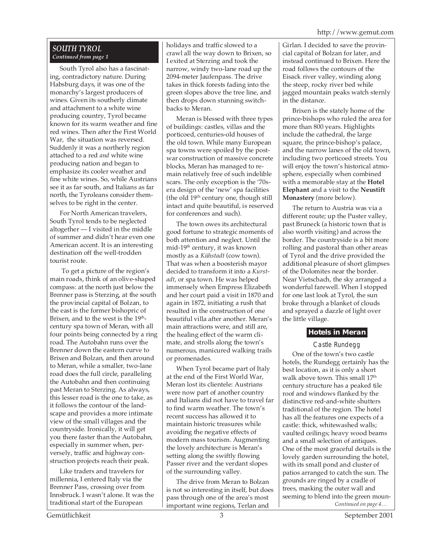#### *SOUTH TYROL Continued from page 1*

South Tyrol also has a fascinating, contradictory nature. During Habsburg days, it was one of the monarchy's largest producers of wines. Given its southerly climate and attachment to a white wine producing country, Tyrol became known for its warm weather and fine red wines. Then after the First World War, the situation was reversed. Suddenly it was a northerly region attached to a red *and* white wine producing nation and began to emphasize its cooler weather and fine white wines. So, while Austrians see it as far south, and Italians as far north, the Tyroleans consider themselves to be right in the center.

For North American travelers, South Tyrol tends to be neglected altogether — I visited in the middle of summer and didn't hear even one American accent. It is an interesting destination off the well-trodden tourist route.

 To get a picture of the region's main roads, think of an olive-shaped compass: at the north just below the Brenner pass is Sterzing, at the south the provincial capital of Bolzan, to the east is the former bishopric of Brixen, and to the west is the 19<sup>th</sup>century spa town of Meran, with all four points being connected by a ring road. The Autobahn runs over the Brenner down the eastern curve to Brixen and Bolzan, and then around to Meran, while a smaller, two-lane road does the full circle, paralleling the Autobahn and then continuing past Meran to Sterzing. As always, this lesser road is the one to take, as it follows the contour of the landscape and provides a more intimate view of the small villages and the countryside. Ironically, it will get you there faster than the Autobahn, especially in summer when, perversely, traffic and highway construction projects reach their peak.

Like traders and travelers for millennia, I entered Italy via the Brenner Pass, crossing over from Innsbruck. I wasn't alone. It was the traditional start of the European

holidays and traffic slowed to a crawl all the way down to Brixen, so I exited at Sterzing and took the narrow, windy two-lane road up the 2094-meter Jaufenpass. The drive takes in thick forests fading into the green slopes above the tree line, and then drops down stunning switchbacks to Meran.

Meran is blessed with three types of buildings: castles, villas and the porticoed, centuries-old houses of the old town. While many European spa towns were spoiled by the postwar construction of massive concrete blocks, Meran has managed to remain relatively free of such indelible scars. The only exception is the '70sera design of the 'new' spa facilities (the old 19<sup>th</sup> century one, though still intact and quite beautiful, is reserved for conferences and such).

The town owes its architectural good fortune to strategic moments of both attention and neglect. Until the mid-19th century, it was known mostly as a *Kühstadt* (cow town). That was when a boosterish mayor decided to transform it into a *Kurstadt*, or spa town. He was helped immensely when Empress Elizabeth and her court paid a visit in 1870 and again in 1872, initiating a rush that resulted in the construction of one beautiful villa after another. Meran's main attractions were, and still are, the healing effect of the warm climate, and strolls along the town's numerous, manicured walking trails or promenades.

When Tyrol became part of Italy at the end of the First World War, Meran lost its clientele: Austrians were now part of another country and Italians did not have to travel far to find warm weather. The town's recent success has allowed it to maintain historic treasures while avoiding the negative effects of modern mass tourism. Augmenting the lovely architecture is Meran's setting along the swiftly flowing Passer river and the verdant slopes of the surrounding valley.

The drive from Meran to Bolzan is not so interesting in itself, but does pass through one of the area's most important wine regions, Terlan and

Girlan. I decided to save the provincial capital of Bolzan for later, and instead continued to Brixen. Here the road follows the contours of the Eisack river valley, winding along the steep, rocky river bed while jagged mountain peaks watch sternly in the distance.

Brixen is the stately home of the prince-bishops who ruled the area for more than 800 years. Highlights include the cathedral, the large square, the prince-bishop's palace, and the narrow lanes of the old town, including two porticoed streets. You will enjoy the town's historical atmosphere, especially when combined with a memorable stay at the **Hotel Elephant** and a visit to the **Neustift Monastery** (more below).

The return to Austria was via a different route; up the Puster valley, past Bruneck (a historic town that is also worth visiting) and across the border. The countryside is a bit more rolling and pastoral than other areas of Tyrol and the drive provided the additional pleasure of short glimpses of the Dolomites near the border. Near Vietschach, the sky arranged a wonderful farewell. When I stopped for one last look at Tyrol, the sun broke through a blanket of clouds and sprayed a dazzle of light over the little village.

#### **Hotels in Meran**

*Continued on page 4…* Castle Rundegg One of the town's two castle hotels, the Rundegg certainly has the best location, as it is only a short walk above town. This small 17<sup>th</sup> century structure has a peaked tile roof and windows flanked by the distinctive red-and-white shutters traditional of the region. The hotel has all the features one expects of a castle: thick, whitewashed walls; vaulted ceilings; heavy wood beams and a small selection of antiques. One of the most graceful details is the lovely garden surrounding the hotel, with its small pond and cluster of patios arranged to catch the sun. The grounds are ringed by a cradle of trees, masking the outer wall and seeming to blend into the green moun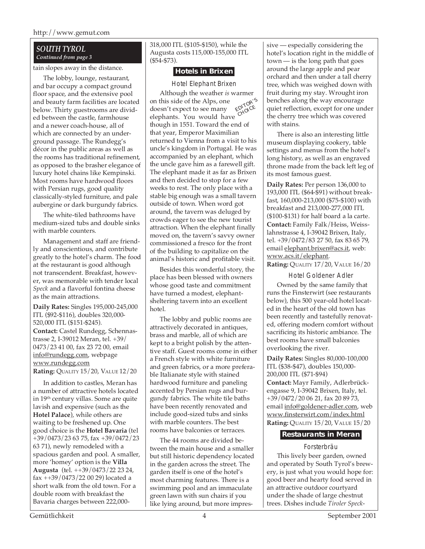http://www.gemut.com

#### *SOUTH TYROL Continued from page 3*

tain slopes away in the distance.

The lobby, lounge, restaurant, and bar occupy a compact ground floor space, and the extensive pool and beauty farm facilities are located below. Thirty guestrooms are divided between the castle, farmhouse and a newer coach-house, all of which are connected by an underground passage. The Rundegg's décor in the public areas as well as the rooms has traditional refinement, as opposed to the brasher elegance of luxury hotel chains like Kempinski. Most rooms have hardwood floors with Persian rugs, good quality classically-styled furniture, and pale aubergine or dark burgundy fabrics.

The white-tiled bathrooms have medium-sized tubs and double sinks with marble counters.

Management and staff are friendly and conscientious, and contribute greatly to the hotel's charm. The food at the restaurant is good although not transcendent. Breakfast, however, was memorable with tender local *Speck* and a flavorful fontina cheese as the main attractions.

**Daily Rates:** Singles 195,000-245,000 ITL (\$92-\$116), doubles 320,000- 520,000 ITL (\$151-\$245). **Contact:** Castel Rundegg, Schennastrasse 2, I-39012 Meran, tel. +39/ 0473/23 41 00, fax 23 72 00, email info@rundegg.com, webpage www.rundegg.com **Rating:** QUALITY 15/20, VALUE 12/20

In addition to castles, Meran has a number of attractive hotels located in 19<sup>th</sup> century villas. Some are quite lavish and expensive (such as the **Hotel Palace**), while others are waiting to be freshened up. One good choice is the **Hotel Bavaria** (tel +39/0473/23 63 75, fax +39/0472/23 63 71), newly remodeled with a spacious garden and pool. A smaller, more 'homey' option is the **Villa Augusta** (tel. ++39/0473/22 23 24, fax ++39/0473/22 00 29) located a short walk from the old town. For a double room with breakfast the Bavaria charges between 222,000318,000 ITL (\$105-\$150), while the Augusta costs 115,000-155,000 ITL (\$54-\$73).

#### **Hotels in Brixen**

Hotel Elephant Brixen Although the weather *is* warmer on this side of the Alps, one doesn't expect to see many elephants. You would have though in 1551. Toward the end of that year, Emperor Maximilian returned to Vienna from a visit to his uncle's kingdom in Portugal. He was accompanied by an elephant, which the uncle gave him as a farewell gift. The elephant made it as far as Brixen and then decided to stop for a few weeks to rest. The only place with a stable big enough was a small tavern outside of town. When word got around, the tavern was deluged by crowds eager to see the new tourist attraction. When the elephant finally moved on, the tavern's savvy owner commissioned a fresco for the front of the building to capitalize on the animal's historic and profitable visit. EDITOR'<sup>S</sup> **CHOICE** 

Besides this wonderful story, the place has been blessed with owners whose good taste and commitment have turned a modest, elephantsheltering tavern into an excellent hotel.

The lobby and public rooms are attractively decorated in antiques, brass and marble, all of which are kept to a bright polish by the attentive staff. Guest rooms come in either a French style with white furniture and green fabrics, or a more preferable Italianate style with stained hardwood furniture and paneling accented by Persian rugs and burgundy fabrics. The white tile baths have been recently renovated and include good-sized tubs and sinks with marble counters. The best rooms have balconies or terraces.

The 44 rooms are divided between the main house and a smaller but still historic dependency located in the garden across the street. The garden itself is one of the hotel's most charming features. There is a swimming pool and an immaculate green lawn with sun chairs if you like lying around, but more impressive — especially considering the hotel's location right in the middle of town — is the long path that goes around the large apple and pear orchard and then under a tall cherry tree, which was weighed down with fruit during my stay. Wrought iron benches along the way encourage quiet reflection, except for one under the cherry tree which was covered with stains.

There is also an interesting little museum displaying cookery, table settings and menus from the hotel's long history, as well as an engraved throne made from the back left leg of its most famous guest.

**Daily Rates:** Per person 136,000 to 193,000 ITL (\$64-\$91) without breakfast, 160,000-213,000 (\$75-\$100) with breakfast and 213,000-277,000 ITL (\$100-\$131) for half board a la carte. **Contact:** Family Falk/Heiss, Weisslahnstrasse 4, I-39042 Brixen, Italy, tel. +39/0472/83 27 50, fax 83 65 79, email elephant.brixen@acs.it, web: www.acs.it/elephant. **Rating:** QUALITY 17/20, VALUE 16/20

Hotel Goldener Adler Owned by the same family that runs the Finsterwirt (see restaurants below), this 500 year-old hotel located in the heart of the old town has been recently and tastefully renovated, offering modern comfort without sacrificing its historic ambiance. The best rooms have small balconies overlooking the river.

**Daily Rates:** Singles 80,000-100,000 ITL (\$38-\$47), doubles 150,000- 200,000 ITL (\$71-\$94)

**Contact:** Mayr Family, Adlerbrückengasse 9, I-39042 Brixen, Italy, tel. +39/0472/20 06 21, fax 20 89 73, email info@goldener-adler.com, web www.finsterwirt.com/index.html **Rating:** QUALITY 15/20, VALUE 15/20

#### **Restaurants in Meran**

#### Forsterbräu

This lively beer garden, owned and operated by South Tyrol's brewery, is just what you would hope for: good beer and hearty food served in an attractive outdoor courtyard under the shade of large chestnut trees. Dishes include *Tiroler Speck-*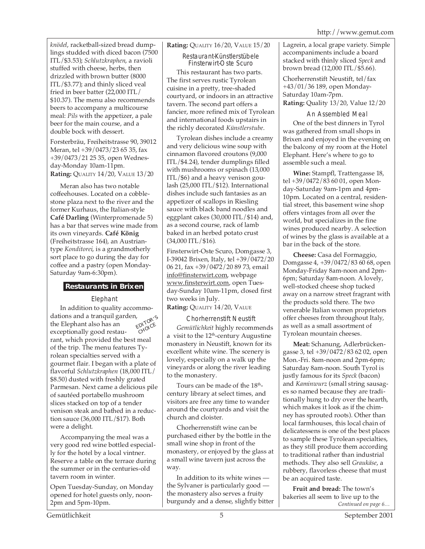*knödel*, racketball-sized bread dumplings studded with diced bacon (7500 ITL/\$3.53); *Schlutzkraphen*, a ravioli stuffed with cheese, herbs, then drizzled with brown butter (8000 ITL/\$3.77); and thinly sliced veal fried in beer batter (22,000 ITL/ \$10.37). The menu also recommends beers to accompany a multicourse meal: *Pils* with the appetizer, a pale beer for the main course, and a double bock with dessert.

Forsterbräu, Freiheitstrasse 90, 39012 Meran, tel +39/0473/23 65 35, fax +39/0473/21 25 35, open Wednesday-Monday 10am-11pm. **Rating:** QUALITY 14/20, VALUE 13/20

Meran also has two notable coffeehouses. Located on a cobblestone plaza next to the river and the former Kurhaus, the Italian-style **Café Darling** (Winterpromenade 5) has a bar that serves wine made from its own vineyards. **Café König** (Freiheitstrasse 164), an Austriantype *Konditorei*, is a grandmotherly sort place to go during the day for coffee and a pastry (open Monday-Saturday 9am-6:30pm).

#### **Restaurants in Brixen**

#### Elephant

EDITOR'<sup>S</sup> CHOICE In addition to quality accommodations and a tranquil garden, the Elephant also has an exceptionally good restaurant, which provided the best meal of the trip. The menu features Tyrolean specialties served with a gourmet flair. I began with a plate of flavorful *Schlutzkraphen* (18,000 ITL/ \$8.50) dusted with freshly grated Parmesan. Next came a delicious pile of sautéed portabello mushroom slices stacked on top of a tender venison steak and bathed in a reduction sauce (36,000 ITL/\$17). Both were a delight.

Accompanying the meal was a very good red wine bottled especially for the hotel by a local vintner. Reserve a table on the terrace during the summer or in the centuries-old tavern room in winter.

Open Tuesday-Sunday, on Monday opened for hotel guests only, noon-2pm and 5pm-10pm.

**Rating:** QUALITY 16/20, VALUE 15/20

#### Restaurant-Künstlerstübele Finsterwirt-Oste Scuro

This restaurant has two parts. The first serves rustic Tyrolean cuisine in a pretty, tree-shaded courtyard, or indoors in an attractive tavern. The second part offers a fancier, more refined mix of Tyrolean and international foods upstairs in the richly decorated *Künstlerstube*.

Tyrolean dishes include a creamy and very delicious wine soup with cinnamon flavored croutons (9,000 ITL/\$4.24), tender dumplings filled with mushrooms or spinach (13,000 ITL/\$6) and a heavy venison goulash (25,000 ITL/\$12). International dishes include such fantasies as an appetizer of scallops in Riesling sauce with black band noodles and eggplant cakes (30,000 ITL/\$14) and, as a second course, rack of lamb baked in an herbed potato crust  $(34,000$  ITL/\$16).

Finsterwirt-Oste Scuro, Domgasse 3, I-39042 Brixen, Italy, tel +39/0472/20 06 21, fax +39/0472/20 89 73, email info@finsterwirt.com, webpage www.finsterwirt.com, open Tuesday-Sunday 10am-11pm, closed first two weeks in July.

#### **Rating:** QUALITY 14/20, VALUE

#### Chorherrenstift Neustift

*Gemütlichkeit* highly recommends a visit to the 12<sup>th</sup>-century Augustine monastery in Neustift, known for its excellent white wine. The scenery is lovely, especially on a walk up the vineyards or along the river leading to the monastery.

Tours can be made of the 18<sup>th</sup>century library at select times, and visitors are free any time to wander around the courtyards and visit the church and cloister.

Chorherrenstift wine can be purchased either by the bottle in the small wine shop in front of the monastery, or enjoyed by the glass at a small wine tavern just across the way.

In addition to its white wines the Sylvaner is particularly good the monastery also serves a fruity burgundy and a dense, slightly bitter Lagrein, a local grape variety. Simple accompaniments include a board stacked with thinly sliced *Speck* and brown bread (12,000 ITL/\$5.66).

Chorherrenstift Neustift, tel/fax +43/01/36 189, open Monday-Saturday 10am-7pm. **Rating:** Quality 13/20, Value 12/20

#### An Assembled Meal

One of the best dinners in Tyrol was gathered from small shops in Brixen and enjoyed in the evening on the balcony of my room at the Hotel Elephant. Here's where to go to assemble such a meal.

**Wine:** Stampfl, Trattengasse 18, tel +39/0472/83 60 01, open Monday-Saturday 9am-1pm and 4pm-10pm. Located on a central, residential street, this basement wine shop offers vintages from all over the world, but specializes in the fine wines produced nearby. A selection of wines by the glass is available at a bar in the back of the store.

**Cheese:** Casa del Formaggio, Domgasse 4, +39/0472/83 60 68, open Monday-Friday 8am-noon and 2pm-6pm; Saturday 8am-noon. A lovely, well-stocked cheese shop tucked away on a narrow street fragrant with the products sold there. The two venerable Italian women proprietors offer cheeses from throughout Italy, as well as a small assortment of Tyrolean mountain cheeses.

**Meat:** Schanung, Adlerbrückengasse 3, tel +39/0472/83 62 02, open Mon.-Fri. 8am-noon and 2pm-6pm; Saturday 8am-noon. South Tyrol is justly famous for its *Speck* (bacon) and *Kaminwurz* (small string sausages so named because they are traditionally hung to dry over the hearth, which makes it look as if the chimney has sprouted roots). Other than local farmhouses, this local chain of delicatessens is one of the best places to sample these Tyrolean specialties, as they still produce them according to traditional rather than industrial methods. They also sell *Graukäse*, a rubbery, flavorless cheese that must be an acquired taste.

*Continued on page 6…* **Fruit and bread:** The town's bakeries all seem to live up to the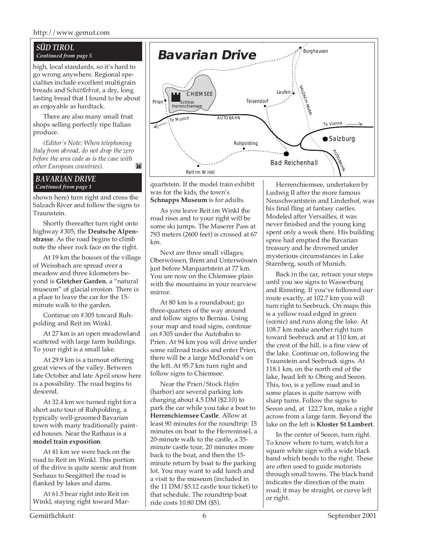## *Continued from page 5*

high, local standards, so it's hard to go wrong anywhere. Regional specialties include excellent multigrain breads and S*chüttlebrot*, a dry, long lasting bread that I found to be about as enjoyable as hardtack.

There are also many small fruit shops selling perfectly ripe Italian produce.

*(Editor's Note: When telephoning Italy from abroad, do not drop the zero before the area code as is the case with other European countries).* M

#### *BAVARIAN DRIVE Continued from page 1*

shown here) turn right and cross the Salzach River and follow the signs to Traunstein.

Shortly thereafter turn right onto highway #305, the **Deutsche Alpenstrasse**. As the road begins to climb note the sheer rock face on the right.

At 19 km the houses of the village of Weissbach are spread over a meadow and three kilometers beyond is **Gletcher Garden**, a "natural museum" of glacial erosion. There is a place to leave the car for the 15 minute walk to the garden.

Continue on #305 toward Ruhpolding and Reit im Winkl.

At 27 km is an open meadowland scattered with large farm buildings. To your right is a small lake.

At 29.9 km is a turnout offering great views of the valley. Between late October and late April snow here is a possibility. The road begins to descend.

At 32.4 km we turned right for a short auto tour of Ruhpolding, a typically well-groomed Bavarian town with many traditionally painted houses. Near the Rathaus is a **model train exposition**.

At 41 km we were back on the road to Reit im Winkl. This portion of the drive is quite scenic and from Seehaus to Seegätterl the road is flanked by lakes and dams.

At 61.5 bear right into Reit im Winkl, staying right toward Mar-



quartstein. If the model train exhibit was for the kids, the town's **Schnapps Museum** is for adults.

As you leave Reit im Winkl the road rises and to your right will be some ski jumps. The Maserer Pass at 793 meters (2600 feet) is crossed at 67 km.

Next are three small villages; Oberwössen, Brem and Unterwössen just before Marquartstein at 77 km. You are now on the Chiemsee plain with the mountains in your rearview mirror.

At 80 km is a roundabout; go three-quarters of the way around and follow signs to Bernau. Using your map and road signs, continue on #305 under the Autobahn to Prien. At 94 km you will drive under some railroad tracks and enter Prien, there will be a large McDonald's on the left. At 95.7 km turn right and follow signs to Chiemsee.

Near the Prien/Stock *Hafen* (harbor) are several parking lots charging about 4.5 DM (\$2.10) to park the car while you take a boat to **Herrenchiemsee Castle**. Allow at least 90 minutes for the roundtrip: 15 minutes on boat to the Herreninsel, a 20-minute walk to the castle, a 35 minute castle tour, 20 minutes more back to the boat, and then the 15 minute return by boat to the parking lot. You may want to add lunch and a visit to the museum (included in the 11 DM/\$5.12 castle tour ticket) to that schedule. The roundtrip boat ride costs 10.80 DM (\$5).

Herrenchiemsee, undertaken by Ludwig II after the more famous Neuschwantstein and Linderhof, was his final fling at fantasy castles. Modeled after Versailles, it was never finished and the young king spent only a week there. His building spree had emptied the Bavarian treasury and he drowned under mysterious circumstances in Lake Starnberg, south of Munich.

Back in the car, retrace your steps until you see signs to Wasserburg and Rimsting. If you've followed our route exactly, at 102.7 km you will turn right to Seebruck. On maps this is a yellow road edged in green (scenic) and runs along the lake. At 108.7 km make another right turn toward Seebruck and at 110 km, at the crest of the hill, is a fine view of the lake. Continue on, following the Traunstein and Seebruck signs. At 118.1 km, on the north end of the lake, head left to Obing and Seeon. This, too, is a yellow road and in some places is quite narrow with sharp turns. Follow the signs to Seeon and, at 122.7 km, make a right across from a large farm. Beyond the lake on the left is **Kloster St Lambert**.

In the center of Seeon, turn right. To know where to turn, watch for a square white sign with a wide black band which bends to the right. These are often used to guide motorists through small towns. The black band indicates the direction of the main road; it may be straight, or curve left or right.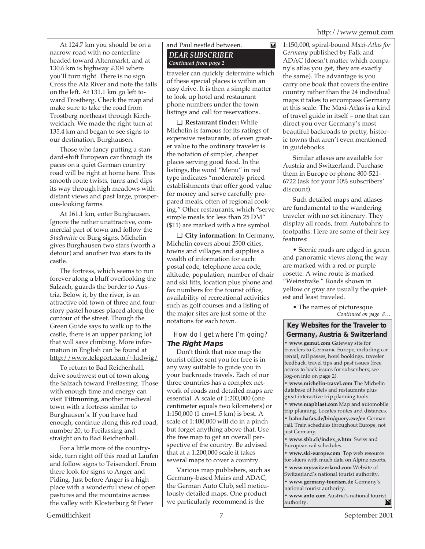At 124.7 km you should be on a narrow road with no centerline headed toward Altenmarkt, and at 130.6 km is highway #304 where you'll turn right. There is no sign. Cross the Alz River and note the falls on the left. At 131.1 km go left toward Trostberg. Check the map and make sure to take the road from Trostberg northeast through Kirchweidach. We made the right turn at 135.4 km and began to see signs to our destination, Burghausen.

Those who fancy putting a standard-shift European car through its paces on a quiet German country road will be right at home here. This smooth route twists, turns and dips its way through high meadows with distant views and past large, prosperous-looking farms.

At 161.1 km, enter Burghausen. Ignore the rather unattractive, commercial part of town and follow the *Stadtmitte* or Burg signs. Michelin gives Burghausen two stars (worth a detour) and another two stars to its castle.

The fortress, which seems to run forever along a bluff overlooking the Salzach, guards the border to Austria. Below it, by the river, is an attractive old town of three and fourstory pastel houses placed along the contour of the street. Though the Green Guide says to walk up to the castle, there is an upper parking lot that will save climbing. More information in English can be found at http://www.teleport.com/~ludwig/

To return to Bad Reichenhall, drive southwest out of town along the Salzach toward Freilassing. Those with enough time and energy can visit **Tittmoning**, another medieval town with a fortress similar to Burghausen's. If you have had enough, continue along this red road, number 20, to Freilassing and straight on to Bad Reichenhall.

For a little more of the countryside, turn right off this road at Laufen and follow signs to Teisendorf. From there look for signs to Anger and Piding. Just before Anger is a high place with a wonderful view of open pastures and the mountains across the valley with Klosterburg St Peter

#### and Paul nestled between. *DEAR SUBSCRIBER Continued from page 2*

traveler can quickly determine which of these special places is within an easy drive. It is then a simple matter to look up hotel and restaurant phone numbers under the town listings and call for reservations.

 $\mathbf{N}$ 

❑ **Restaurant finder:** While Michelin is famous for its ratings of expensive restaurants, of even greater value to the ordinary traveler is the notation of simpler, cheaper places serving good food. In the listings, the word "Menu" in red type indicates "moderately priced establishments that offer good value for money and serve carefully prepared meals, often of regional cooking." Other restaurants, which "serve simple meals for less than 25 DM" (\$11) are marked with a tire symbol.

❑ **City information:** In Germany, Michelin covers about 2500 cities, towns and villages and supplies a wealth of information for each: postal code, telephone area code, altitude, population, number of chair and ski lifts, location plus phone and fax numbers for the tourist office, availability of recreational activities such as golf courses and a listing of the major sites are just some of the notations for each town.

#### How do I get where I'm going? **The Right Maps**

Don't think that nice map the tourist office sent you for free is in any way suitable to guide you in your backroads travels. Each of our three countries has a complex network of roads and detailed maps are essential. A scale of 1:200,000 (one centimeter equals two kilometers) or 1:150,000 (1 cm=1.5 km) is best. A scale of 1:400,000 will do in a pinch but forget anything above that. Use the free map to get an overall perspective of the country. Be advised that at a 1:200,000 scale it takes several maps to cover a country.

Various map publishers, such as Germany-based Mairs and ADAC, the German Auto Club, sell meticulously detailed maps. One product we particularly recommend is the

1:150,000, spiral-bound *Maxi-Atlas for Germany* published by Falk and ADAC (doesn't matter which company's atlas you get, they are exactly the same). The advantage is you carry one book that covers the entire country rather than the 24 individual maps it takes to encompass Germany at this scale. The Maxi-Atlas is a kind of travel guide in itself – one that can direct you over Germany's most beautiful backroads to pretty, historic towns that aren't even mentioned in guidebooks.

Similar atlases are available for Austria and Switzerland. Purchase them in Europe or phone 800-521- 6722 (ask for your 10% subscribers' discount).

Such detailed maps and atlases are fundamental to the wandering traveler with no set itinerary. They display all roads, from Autobahns to footpaths. Here are some of their key features:

• Scenic roads are edged in green and panoramic views along the way are marked with a red or purple rosette. A wine route is marked "Weinstraße." Roads shown in yellow or gray are usually the quietest and least traveled.

*Continued on page 8…* • The names of picturesque

#### **Key Websites for the Traveler to Germany, Austria & Switzerland**

**• www.gemut.com** Gateway site for travelers to Germanic Europe, including car rental, rail passes, hotel bookings, traveler feedback, travel tips and past issues (free access to back issues for subscribers; see log-on info on page 2).

**• www.michelin-travel.com** The Michelin database of hotels and restaurants plus great interactive trip planning tools.

**• www.mapblast.com** Map and automobile trip planning. Locates routes and distances.

**• bahn.hafas.de/bin/query.exe/en** German rail. Train schedules throughout Europe, not just Germany.

**• www.sbb.ch/index\_e.htm** Swiss and European rail schedules.

**• www.ski-europe.com** Top web resource for skiers with much data on Alpine resorts.

**• www.myswitzerland.com** Website of Switzerland's national tourist authority.

**• www.germany-tourism.de** Germany's

national tourist authority.

**• www.anto.com** Austria's national tourist authority. authority.